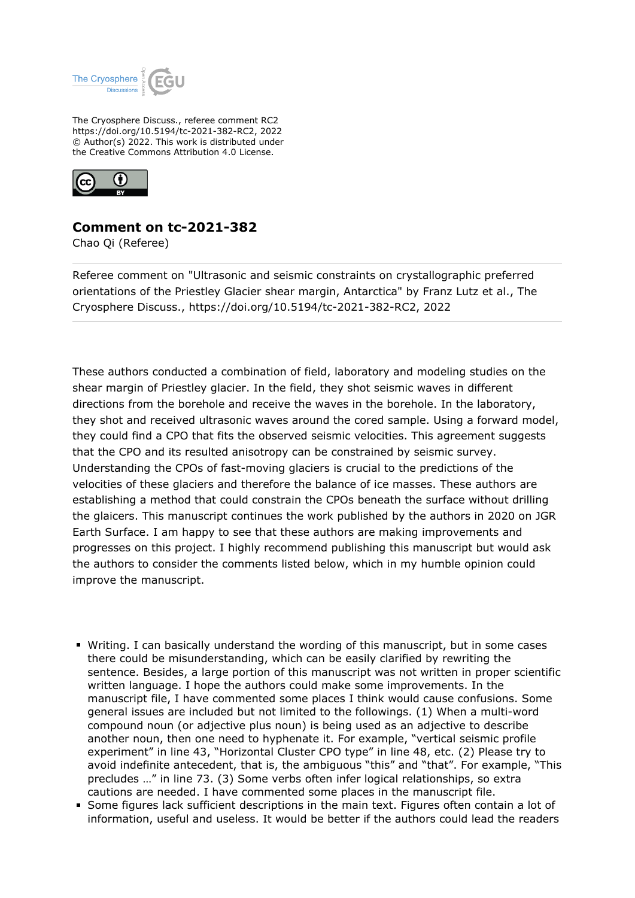

The Cryosphere Discuss., referee comment RC2 https://doi.org/10.5194/tc-2021-382-RC2, 2022 © Author(s) 2022. This work is distributed under the Creative Commons Attribution 4.0 License.



## **Comment on tc-2021-382**

Chao Qi (Referee)

Referee comment on "Ultrasonic and seismic constraints on crystallographic preferred orientations of the Priestley Glacier shear margin, Antarctica" by Franz Lutz et al., The Cryosphere Discuss., https://doi.org/10.5194/tc-2021-382-RC2, 2022

These authors conducted a combination of field, laboratory and modeling studies on the shear margin of Priestley glacier. In the field, they shot seismic waves in different directions from the borehole and receive the waves in the borehole. In the laboratory, they shot and received ultrasonic waves around the cored sample. Using a forward model, they could find a CPO that fits the observed seismic velocities. This agreement suggests that the CPO and its resulted anisotropy can be constrained by seismic survey. Understanding the CPOs of fast-moving glaciers is crucial to the predictions of the velocities of these glaciers and therefore the balance of ice masses. These authors are establishing a method that could constrain the CPOs beneath the surface without drilling the glaicers. This manuscript continues the work published by the authors in 2020 on JGR Earth Surface. I am happy to see that these authors are making improvements and progresses on this project. I highly recommend publishing this manuscript but would ask the authors to consider the comments listed below, which in my humble opinion could improve the manuscript.

- Writing. I can basically understand the wording of this manuscript, but in some cases there could be misunderstanding, which can be easily clarified by rewriting the sentence. Besides, a large portion of this manuscript was not written in proper scientific written language. I hope the authors could make some improvements. In the manuscript file, I have commented some places I think would cause confusions. Some general issues are included but not limited to the followings. (1) When a multi-word compound noun (or adjective plus noun) is being used as an adjective to describe another noun, then one need to hyphenate it. For example, "vertical seismic profile experiment" in line 43, "Horizontal Cluster CPO type" in line 48, etc. (2) Please try to avoid indefinite antecedent, that is, the ambiguous "this" and "that". For example, "This precludes …" in line 73. (3) Some verbs often infer logical relationships, so extra cautions are needed. I have commented some places in the manuscript file.
- Some figures lack sufficient descriptions in the main text. Figures often contain a lot of information, useful and useless. It would be better if the authors could lead the readers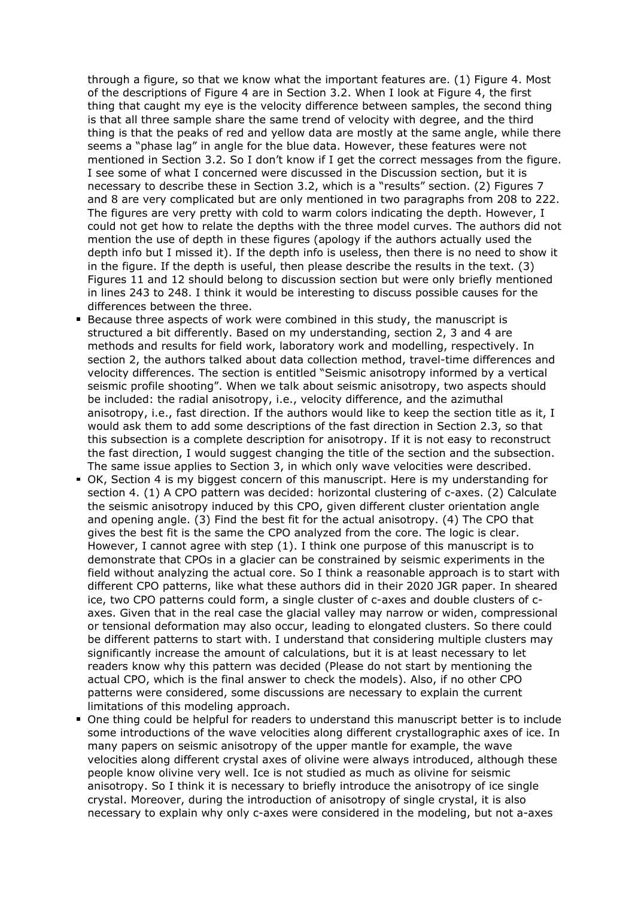through a figure, so that we know what the important features are. (1) Figure 4. Most of the descriptions of Figure 4 are in Section 3.2. When I look at Figure 4, the first thing that caught my eye is the velocity difference between samples, the second thing is that all three sample share the same trend of velocity with degree, and the third thing is that the peaks of red and yellow data are mostly at the same angle, while there seems a "phase lag" in angle for the blue data. However, these features were not mentioned in Section 3.2. So I don't know if I get the correct messages from the figure. I see some of what I concerned were discussed in the Discussion section, but it is necessary to describe these in Section 3.2, which is a "results" section. (2) Figures 7 and 8 are very complicated but are only mentioned in two paragraphs from 208 to 222. The figures are very pretty with cold to warm colors indicating the depth. However, I could not get how to relate the depths with the three model curves. The authors did not mention the use of depth in these figures (apology if the authors actually used the depth info but I missed it). If the depth info is useless, then there is no need to show it in the figure. If the depth is useful, then please describe the results in the text. (3) Figures 11 and 12 should belong to discussion section but were only briefly mentioned in lines 243 to 248. I think it would be interesting to discuss possible causes for the differences between the three.

- Because three aspects of work were combined in this study, the manuscript is structured a bit differently. Based on my understanding, section 2, 3 and 4 are methods and results for field work, laboratory work and modelling, respectively. In section 2, the authors talked about data collection method, travel-time differences and velocity differences. The section is entitled "Seismic anisotropy informed by a vertical seismic profile shooting". When we talk about seismic anisotropy, two aspects should be included: the radial anisotropy, i.e., velocity difference, and the azimuthal anisotropy, i.e., fast direction. If the authors would like to keep the section title as it, I would ask them to add some descriptions of the fast direction in Section 2.3, so that this subsection is a complete description for anisotropy. If it is not easy to reconstruct the fast direction, I would suggest changing the title of the section and the subsection. The same issue applies to Section 3, in which only wave velocities were described.
- OK, Section 4 is my biggest concern of this manuscript. Here is my understanding for section 4. (1) A CPO pattern was decided: horizontal clustering of c-axes. (2) Calculate the seismic anisotropy induced by this CPO, given different cluster orientation angle and opening angle. (3) Find the best fit for the actual anisotropy. (4) The CPO that gives the best fit is the same the CPO analyzed from the core. The logic is clear. However, I cannot agree with step (1). I think one purpose of this manuscript is to demonstrate that CPOs in a glacier can be constrained by seismic experiments in the field without analyzing the actual core. So I think a reasonable approach is to start with different CPO patterns, like what these authors did in their 2020 JGR paper. In sheared ice, two CPO patterns could form, a single cluster of c-axes and double clusters of caxes. Given that in the real case the glacial valley may narrow or widen, compressional or tensional deformation may also occur, leading to elongated clusters. So there could be different patterns to start with. I understand that considering multiple clusters may significantly increase the amount of calculations, but it is at least necessary to let readers know why this pattern was decided (Please do not start by mentioning the actual CPO, which is the final answer to check the models). Also, if no other CPO patterns were considered, some discussions are necessary to explain the current limitations of this modeling approach.
- One thing could be helpful for readers to understand this manuscript better is to include some introductions of the wave velocities along different crystallographic axes of ice. In many papers on seismic anisotropy of the upper mantle for example, the wave velocities along different crystal axes of olivine were always introduced, although these people know olivine very well. Ice is not studied as much as olivine for seismic anisotropy. So I think it is necessary to briefly introduce the anisotropy of ice single crystal. Moreover, during the introduction of anisotropy of single crystal, it is also necessary to explain why only c-axes were considered in the modeling, but not a-axes